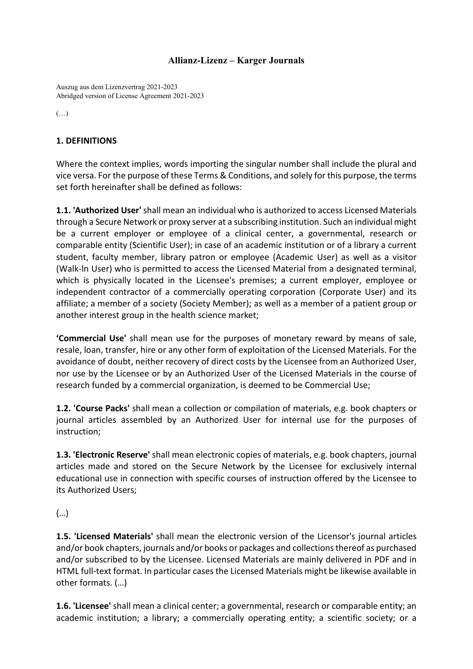# **Allianz-Lizenz – Karger Journals**

Auszug aus dem Lizenzvertrag 2021-2023 Abridged version of License Agreement 2021-2023

(…)

# **1. DEFINITIONS**

Where the context implies, words importing the singular number shall include the plural and vice versa. For the purpose of these Terms & Conditions, and solely for this purpose, the terms set forth hereinafter shall be defined as follows:

**1.1. 'Authorized User'** shall mean an individual who is authorized to access Licensed Materials through a Secure Network or proxy server at a subscribing institution. Such an individual might be a current employer or employee of a clinical center, a governmental, research or comparable entity (Scientific User); in case of an academic institution or of a library a current student, faculty member, library patron or employee (Academic User) as well as a visitor (Walk-ln User) who is permitted to access the Licensed Material from a designated terminal, which is physically located in the Licensee's premises; a current employer, employee or independent contractor of a commercially operating corporation (Corporate User) and its affiliate; a member of a society (Society Member); as well as a member of a patient group or another interest group in the health science market;

**'Commercial Use'** shall mean use for the purposes of monetary reward by means of sale, resale, loan, transfer, hire or any other form of exploitation of the Licensed Materials. For the avoidance of doubt, neither recovery of direct costs by the Licensee from an Authorized User, nor use by the Licensee or by an Authorized User of the Licensed Materials in the course of research funded by a commercial organization, is deemed to be Commercial Use;

**1.2. 'Course Packs'** shall mean a collection or compilation of materials, e.g. book chapters or journal articles assembled by an Authorized User for internal use for the purposes of instruction;

**1.3. 'Electronic Reserve'** shall mean electronic copies of materials, e.g. book chapters, journal articles made and stored on the Secure Network by the Licensee for exclusively internal educational use in connection with specific courses of instruction offered by the Licensee to its Authorized Users;

(…)

**1.5. 'Licensed Materials'** shall mean the electronic version of the Licensor's journal articles and/or book chapters, journals and/or books or packages and collections thereof as purchased and/or subscribed to by the Licensee. Licensed Materials are mainly delivered in PDF and in HTML full-text format. In particular cases the Licensed Materials might be likewise available in other formats. (…)

**1.6. 'Licensee'** shall mean a clinical center; a governmental, research or comparable entity; an academic institution; a library; a commercially operating entity; a scientific society; or a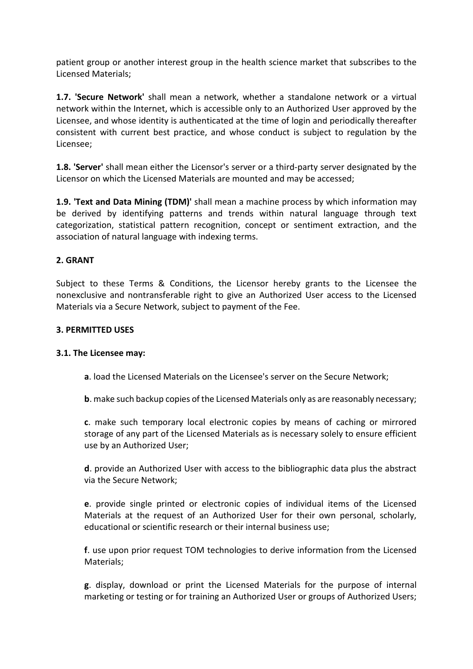patient group or another interest group in the health science market that subscribes to the Licensed Materials;

**1.7. 'Secure Network'** shall mean a network, whether a standalone network or a virtual network within the Internet, which is accessible only to an Authorized User approved by the Licensee, and whose identity is authenticated at the time of login and periodically thereafter consistent with current best practice, and whose conduct is subject to regulation by the Licensee;

**1.8. 'Server'** shall mean either the Licensor's server or a third-party server designated by the Licensor on which the Licensed Materials are mounted and may be accessed;

**1.9. 'Text and Data Mining (TDM)'** shall mean a machine process by which information may be derived by identifying patterns and trends within natural language through text categorization, statistical pattern recognition, concept or sentiment extraction, and the association of natural language with indexing terms.

## **2. GRANT**

Subject to these Terms & Conditions, the Licensor hereby grants to the Licensee the nonexclusive and nontransferable right to give an Authorized User access to the Licensed Materials via a Secure Network, subject to payment of the Fee.

### **3. PERMITTED USES**

#### **3.1. The Licensee may:**

**a**. load the Licensed Materials on the Licensee's server on the Secure Network;

**b**. make such backup copies of the Licensed Materials only as are reasonably necessary;

**c**. make such temporary local electronic copies by means of caching or mirrored storage of any part of the Licensed Materials as is necessary solely to ensure efficient use by an Authorized User;

**d**. provide an Authorized User with access to the bibliographic data plus the abstract via the Secure Network;

**e**. provide single printed or electronic copies of individual items of the Licensed Materials at the request of an Authorized User for their own personal, scholarly, educational or scientific research or their internal business use;

**f**. use upon prior request TOM technologies to derive information from the Licensed Materials;

**g**. display, download or print the Licensed Materials for the purpose of internal marketing or testing or for training an Authorized User or groups of Authorized Users;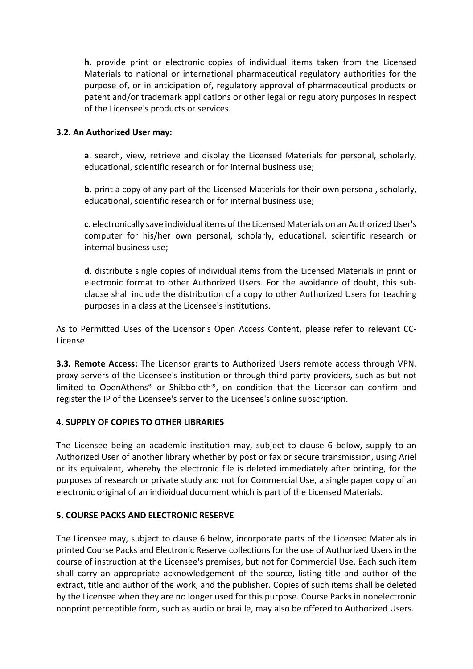**h**. provide print or electronic copies of individual items taken from the Licensed Materials to national or international pharmaceutical regulatory authorities for the purpose of, or in anticipation of, regulatory approval of pharmaceutical products or patent and/or trademark applications or other legal or regulatory purposes in respect of the Licensee's products or services.

## **3.2. An Authorized User may:**

**a**. search, view, retrieve and display the Licensed Materials for personal, scholarly, educational, scientific research or for internal business use;

**b**. print a copy of any part of the Licensed Materials for their own personal, scholarly, educational, scientific research or for internal business use;

**c**. electronically save individual items of the Licensed Materials on an Authorized User's computer for his/her own personal, scholarly, educational, scientific research or internal business use;

**d**. distribute single copies of individual items from the Licensed Materials in print or electronic format to other Authorized Users. For the avoidance of doubt, this subclause shall include the distribution of a copy to other Authorized Users for teaching purposes in a class at the Licensee's institutions.

As to Permitted Uses of the Licensor's Open Access Content, please refer to relevant CC-License.

**3.3. Remote Access:** The Licensor grants to Authorized Users remote access through VPN, proxy servers of the Licensee's institution or through third-party providers, such as but not limited to OpenAthens® or Shibboleth®, on condition that the Licensor can confirm and register the IP of the Licensee's server to the Licensee's online subscription.

# **4. SUPPLY OF COPIES TO OTHER LIBRARIES**

The Licensee being an academic institution may, subject to clause 6 below, supply to an Authorized User of another library whether by post or fax or secure transmission, using Ariel or its equivalent, whereby the electronic file is deleted immediately after printing, for the purposes of research or private study and not for Commercial Use, a single paper copy of an electronic original of an individual document which is part of the Licensed Materials.

# **5. COURSE PACKS AND ELECTRONIC RESERVE**

The Licensee may, subject to clause 6 below, incorporate parts of the Licensed Materials in printed Course Packs and Electronic Reserve collections for the use of Authorized Users in the course of instruction at the Licensee's premises, but not for Commercial Use. Each such item shall carry an appropriate acknowledgement of the source, listing title and author of the extract, title and author of the work, and the publisher. Copies of such items shall be deleted by the Licensee when they are no longer used for this purpose. Course Packs in nonelectronic nonprint perceptible form, such as audio or braille, may also be offered to Authorized Users.